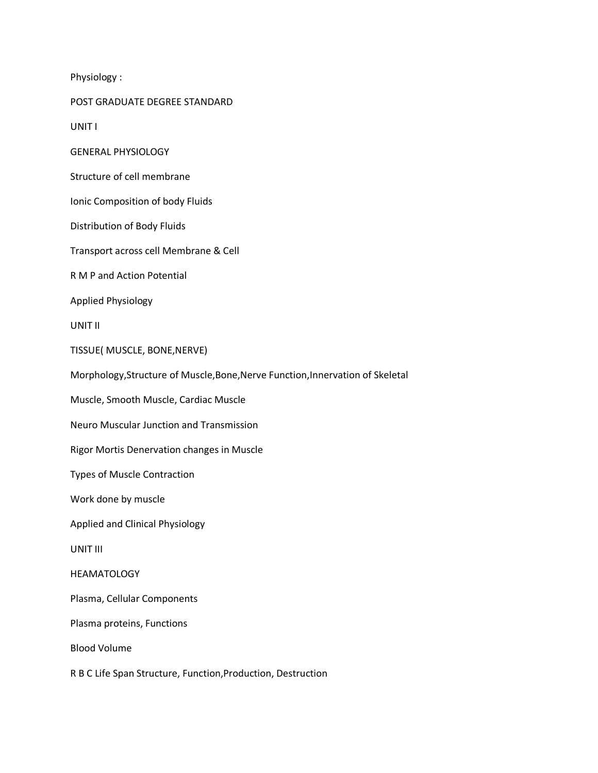Physiology :

POST GRADUATE DEGREE STANDARD

UNIT I

GENERAL PHYSIOLOGY

Structure of cell membrane

Ionic Composition of body Fluids

Distribution of Body Fluids

Transport across cell Membrane & Cell

R M P and Action Potential

Applied Physiology

UNIT II

TISSUE( MUSCLE, BONE,NERVE)

Morphology,Structure of Muscle,Bone,Nerve Function,Innervation of Skeletal

Muscle, Smooth Muscle, Cardiac Muscle

Neuro Muscular Junction and Transmission

Rigor Mortis Denervation changes in Muscle

Types of Muscle Contraction

Work done by muscle

Applied and Clinical Physiology

UNIT III

## HEAMATOLOGY

Plasma, Cellular Components

Plasma proteins, Functions

Blood Volume

R B C Life Span Structure, Function,Production, Destruction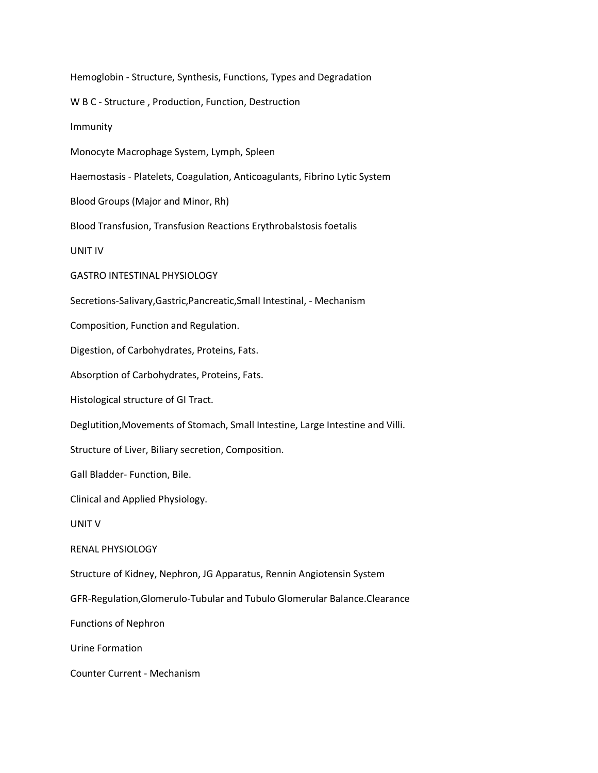Hemoglobin - Structure, Synthesis, Functions, Types and Degradation W B C - Structure , Production, Function, Destruction Immunity Monocyte Macrophage System, Lymph, Spleen Haemostasis - Platelets, Coagulation, Anticoagulants, Fibrino Lytic System Blood Groups (Major and Minor, Rh) Blood Transfusion, Transfusion Reactions Erythrobalstosis foetalis UNIT IV GASTRO INTESTINAL PHYSIOLOGY Secretions-Salivary,Gastric,Pancreatic,Small Intestinal, - Mechanism Composition, Function and Regulation. Digestion, of Carbohydrates, Proteins, Fats. Absorption of Carbohydrates, Proteins, Fats. Histological structure of GI Tract. Deglutition,Movements of Stomach, Small Intestine, Large Intestine and Villi. Structure of Liver, Biliary secretion, Composition. Gall Bladder- Function, Bile. Clinical and Applied Physiology. UNIT V RENAL PHYSIOLOGY Structure of Kidney, Nephron, JG Apparatus, Rennin Angiotensin System GFR-Regulation,Glomerulo-Tubular and Tubulo Glomerular Balance.Clearance Functions of Nephron Urine Formation Counter Current - Mechanism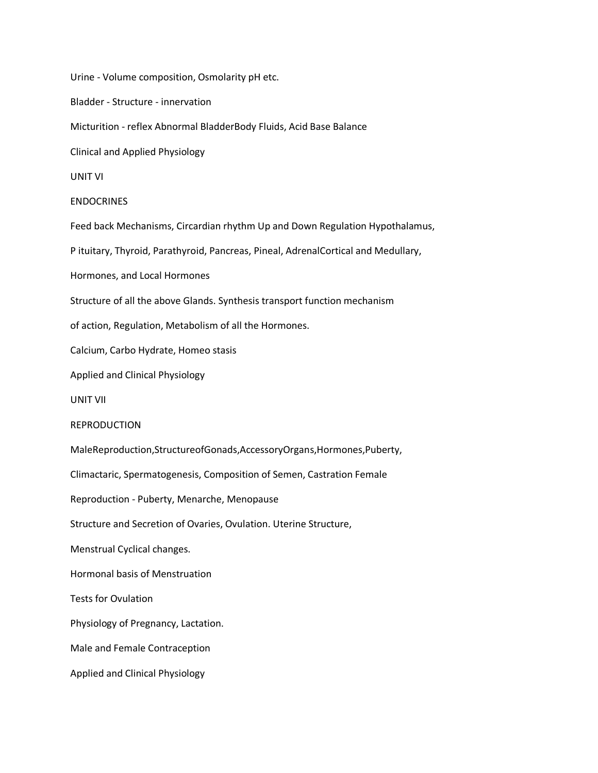Urine - Volume composition, Osmolarity pH etc. Bladder - Structure - innervation Micturition - reflex Abnormal BladderBody Fluids, Acid Base Balance Clinical and Applied Physiology UNIT VI **ENDOCRINES** Feed back Mechanisms, Circardian rhythm Up and Down Regulation Hypothalamus, P ituitary, Thyroid, Parathyroid, Pancreas, Pineal, AdrenalCortical and Medullary, Hormones, and Local Hormones Structure of all the above Glands. Synthesis transport function mechanism of action, Regulation, Metabolism of all the Hormones. Calcium, Carbo Hydrate, Homeo stasis Applied and Clinical Physiology UNIT VII REPRODUCTION MaleReproduction,StructureofGonads,AccessoryOrgans,Hormones,Puberty, Climactaric, Spermatogenesis, Composition of Semen, Castration Female Reproduction - Puberty, Menarche, Menopause Structure and Secretion of Ovaries, Ovulation. Uterine Structure, Menstrual Cyclical changes. Hormonal basis of Menstruation Tests for Ovulation Physiology of Pregnancy, Lactation. Male and Female Contraception Applied and Clinical Physiology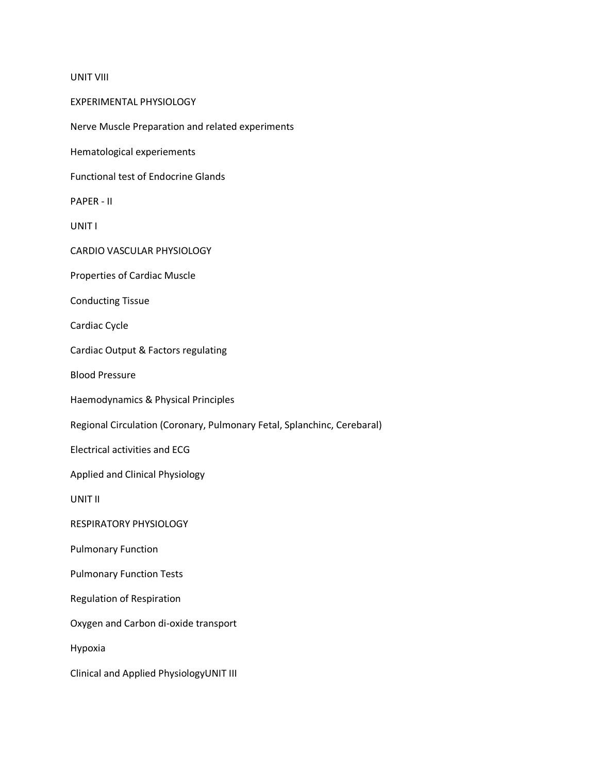## UNIT VIII

EXPERIMENTAL PHYSIOLOGY Nerve Muscle Preparation and related experiments Hematological experiements Functional test of Endocrine Glands PAPER - II UNIT I CARDIO VASCULAR PHYSIOLOGY Properties of Cardiac Muscle Conducting Tissue Cardiac Cycle Cardiac Output & Factors regulating Blood Pressure Haemodynamics & Physical Principles Regional Circulation (Coronary, Pulmonary Fetal, Splanchinc, Cerebaral) Electrical activities and ECG Applied and Clinical Physiology UNIT II RESPIRATORY PHYSIOLOGY Pulmonary Function Pulmonary Function Tests Regulation of Respiration Oxygen and Carbon di-oxide transport Hypoxia Clinical and Applied PhysiologyUNIT III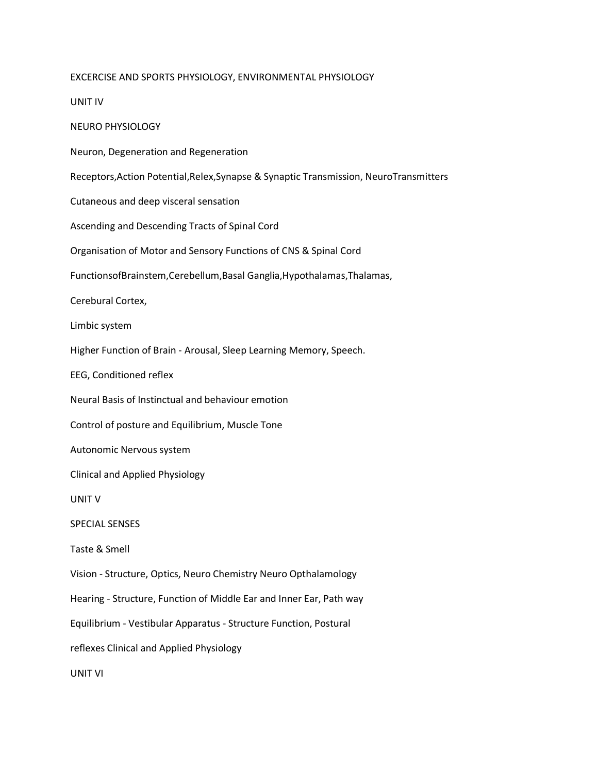## EXCERCISE AND SPORTS PHYSIOLOGY, ENVIRONMENTAL PHYSIOLOGY

UNIT IV

NEURO PHYSIOLOGY

Neuron, Degeneration and Regeneration

Receptors,Action Potential,Relex,Synapse & Synaptic Transmission, NeuroTransmitters

Cutaneous and deep visceral sensation

Ascending and Descending Tracts of Spinal Cord

Organisation of Motor and Sensory Functions of CNS & Spinal Cord

FunctionsofBrainstem,Cerebellum,Basal Ganglia,Hypothalamas,Thalamas,

Cerebural Cortex,

Limbic system

Higher Function of Brain - Arousal, Sleep Learning Memory, Speech.

EEG, Conditioned reflex

Neural Basis of Instinctual and behaviour emotion

Control of posture and Equilibrium, Muscle Tone

Autonomic Nervous system

Clinical and Applied Physiology

UNIT V

SPECIAL SENSES

Taste & Smell

Vision - Structure, Optics, Neuro Chemistry Neuro Opthalamology

Hearing - Structure, Function of Middle Ear and Inner Ear, Path way

Equilibrium - Vestibular Apparatus - Structure Function, Postural

reflexes Clinical and Applied Physiology

UNIT VI